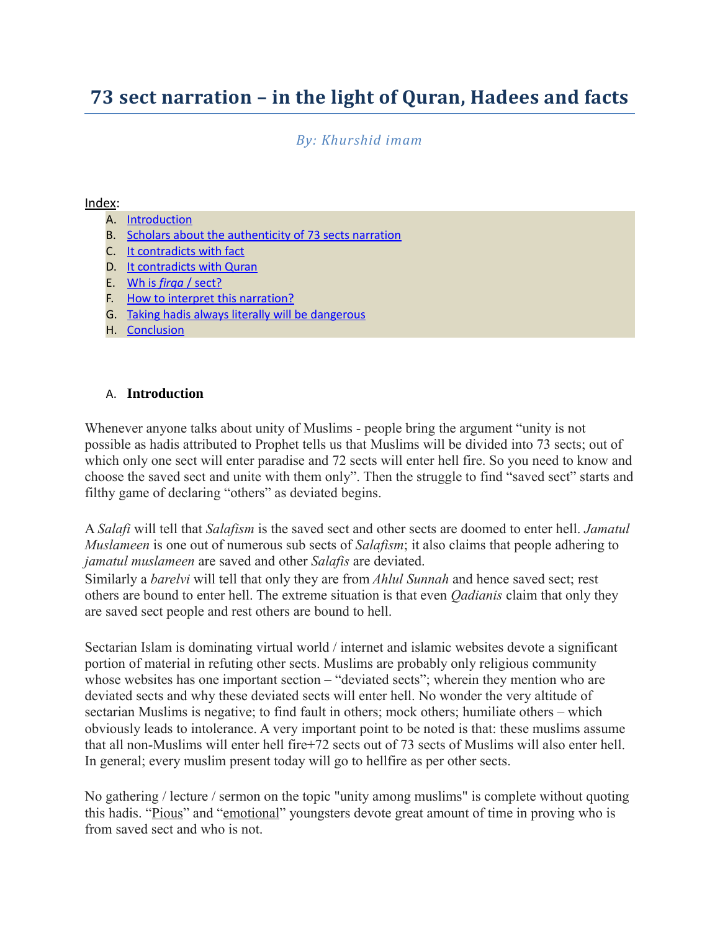# **73 sect narration – in the light of Quran, Hadees and facts**

*By: Khurshid imam*

#### Index:

- A. [Introduction](#page-0-0)
- B. [Scholars about the authenticity of 73 sects narration](#page-1-0)
- C. [It contradicts with fact](#page-2-0)
- D. [It contradicts with Quran](#page-4-0)
- E. Wh is *firqa* [/ sect?](#page-7-0)
- F. [How to interpret this narration?](#page-8-0)
- G. [Taking hadis always literally will be dangerous](#page-9-0)
- H. [Conclusion](#page-11-0)

### <span id="page-0-0"></span>A. **Introduction**

Whenever anyone talks about unity of Muslims - people bring the argument "unity is not possible as hadis attributed to Prophet tells us that Muslims will be divided into 73 sects; out of which only one sect will enter paradise and 72 sects will enter hell fire. So you need to know and choose the saved sect and unite with them only". Then the struggle to find "saved sect" starts and filthy game of declaring "others" as deviated begins.

A *Salafi* will tell that *Salafism* is the saved sect and other sects are doomed to enter hell. *Jamatul Muslameen* is one out of numerous sub sects of *Salafism*; it also claims that people adhering to *jamatul muslameen* are saved and other *Salafis* are deviated.

Similarly a *barelvi* will tell that only they are from *Ahlul Sunnah* and hence saved sect; rest others are bound to enter hell. The extreme situation is that even *Qadianis* claim that only they are saved sect people and rest others are bound to hell.

Sectarian Islam is dominating virtual world / internet and islamic websites devote a significant portion of material in refuting other sects. Muslims are probably only religious community whose websites has one important section – "deviated sects"; wherein they mention who are deviated sects and why these deviated sects will enter hell. No wonder the very altitude of sectarian Muslims is negative; to find fault in others; mock others; humiliate others – which obviously leads to intolerance. A very important point to be noted is that: these muslims assume that all non-Muslims will enter hell fire+72 sects out of 73 sects of Muslims will also enter hell. In general; every muslim present today will go to hellfire as per other sects.

No gathering / lecture / sermon on the topic "unity among muslims" is complete without quoting this hadis. "Pious" and "emotional" youngsters devote great amount of time in proving who is from saved sect and who is not.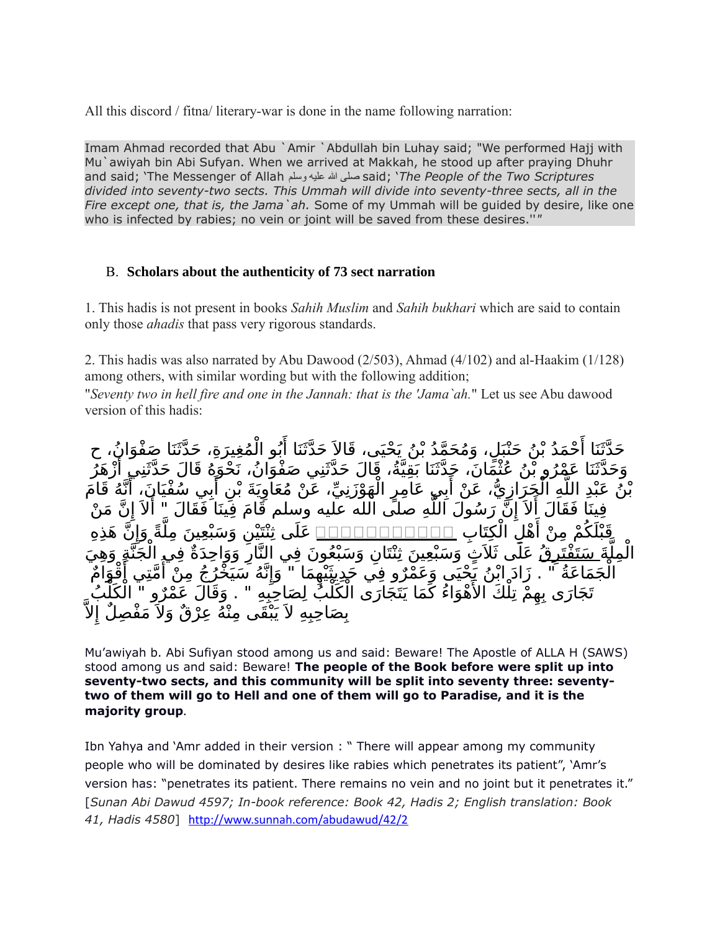All this discord / fitna/ literary-war is done in the name following narration:

Imam Ahmad recorded that Abu `Amir `Abdullah bin Luhay said; "We performed Hajj with Mu`awiyah bin Abi Sufyan. When we arrived at Makkah, he stood up after praying Dhuhr and said; 'The Messenger of Allah وسلم عليه ا صلى said; '*The People of the Two Scriptures divided into seventy-two sects. This Ummah will divide into seventy-three sects, all in the Fire except one, that is, the Jama`ah.* Some of my Ummah will be guided by desire, like one who is infected by rabies; no vein or joint will be saved from these desires.''*"*

### <span id="page-1-0"></span>B. **Scholars about the authenticity of 73 sect narration**

1. This hadis is not present in books *Sahih Muslim* and *Sahih bukhari* which are said to contain only those *ahadis* that pass very rigorous standards.

2. This hadis was also narrated by Abu Dawood (2/503), Ahmad (4/102) and al-Haakim (1/128) among others, with similar wording but with the following addition;

"*Seventy two in hell fire and one in the Jannah: that is the 'Jama`ah.*" Let us see Abu dawood version of this hadis:

حَدَّثَنَا أَحْمَدُ بْنُ حَبْْبَلٍ، وَمُحَمَّدُ بْنُ بَحْيَى، قَالاَ حَدَّثَنَا أَبُو الْمُغِيرَةِ، حَدَّثَنَا صَفْوَانُ، ح حدث العند بن حبين، وتفصد بن تحيى، ت حدث محدث بنو المعيرة.<br>وَحَدَّثَنَا عَهْرُو بْنُ عُثْهَانَ، حَدَّثَنَا بَقِيَّةُ، قَالَ حَدَّثَنِي صَفْوَانُ، نَحْوَهُ قَالَ حَدَّثَنِي أَزْهَرُ و عدما صروبن حيث بن عنها بن الله عنها و عليها عن معنى السود.<br>بْنُ عَبْدِ اللَّهِ الْجَرَازِيُّ، عَنْ أَبِي عَامِرٍ الْهَوْزَنِيِّ، عَنْ مُعَاوِيَةَ بْنِ أَبِي سُفْيَانَ، أَنَّهُ قَامَ حَبَّةٍ ،عَكَّرَ رَبِّ، عَنْ بَعْنَ حَبِيرٍ ،عَنِهِ رَبِّي .<br>فِينَا فَقَالَ أَلاَ إِنَّ رَسُولَ اللَّهِ صَلَّى الله عليه وسلم قَامَ فِينَا فَقَالَ " أَلاَ إِنَّ مَنْ ل ال كت اب ه م م ن أ ك ن هذه قب ل ااااااااااا إ Cة و ين مل ن و سب ع على ثن تي ة Ľ مل j الْمِل<u>َّةَ سَتَفْتَرِقُ</u> عَلَى ثَلاَثٍ وَسَبْعِينَ ثِنْتَانِ وَسَبْعُونَ فِي النَّارِ وَوَاحِدَةٌ فِي الْجَنَّةِ وَهِيَ تجبّ أُقْوَامٌ<br>مَّتِي أُقْوَامٌ ه سي خ ر ج م ن أ ن إ ما " و م Fرو ف ي حديثي ه ج ماع ة " . زاد اب ن ي حيى وع الحَمَاعَةُ مستقبل الأَهْوَاءُ كَمَا يَتَجَارَى الْكُلُّبُ لِصَاحِبِهِ ". وَقَالَ عَمْرُو " الْكُلِّبُ<br>تَجَارَى بِهِمْ تِلْكَ الأَهْوَاءُ كَمَا يَتَجَارَى الْكُلُّبُ لِصَاحِبِهِ " . وَقَالَ عَمْرُو " الْكُلِّبُ ل بِصَاحِبِهِ لاَ يَبْقَى مِنْهُ عِرْقٌ وَلاَ مَفْصِلٌ إِ

Mu'awiyah b. Abi Sufiyan stood among us and said: Beware! The Apostle of ALLA H (SAWS) stood among us and said: Beware! **The people of the Book before were split up into seventy-two sects, and this community will be split into seventy three: seventytwo of them will go to Hell and one of them will go to Paradise, and it is the majority group***.*

Ibn Yahya and 'Amr added in their version : " There will appear among my community people who will be dominated by desires like rabies which penetrates its patient", 'Amr's version has: "penetrates its patient. There remains no vein and no joint but it penetrates it." [*Sunan Abi Dawud 4597; In-book reference: Book 42, Hadis 2; English translation: Book 41, Hadis 4580*] <http://www.sunnah.com/abudawud/42/2>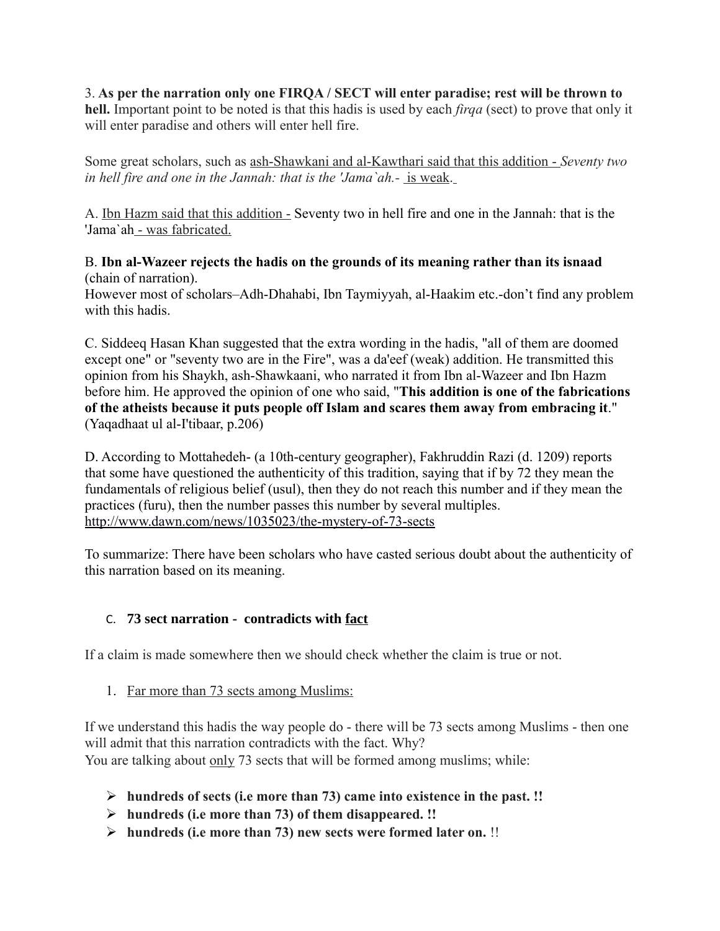3. **As per the narration only one FIRQA / SECT will enter paradise; rest will be thrown to hell.** Important point to be noted is that this hadis is used by each *firqa* (sect) to prove that only it will enter paradise and others will enter hell fire.

Some great scholars, such as ash-Shawkani and al-Kawthari said that this addition - *Seventy two in hell fire and one in the Jannah: that is the 'Jama`ah.-* is weak.

A. Ibn Hazm said that this addition - Seventy two in hell fire and one in the Jannah: that is the 'Jama`ah - was fabricated.

B. **Ibn al-Wazeer rejects the hadis on the grounds of its meaning rather than its isnaad** (chain of narration).

However most of scholars–Adh-Dhahabi, Ibn Taymiyyah, al-Haakim etc.-don't find any problem with this hadis.

C. Siddeeq Hasan Khan suggested that the extra wording in the hadis, "all of them are doomed except one" or "seventy two are in the Fire", was a da'eef (weak) addition. He transmitted this opinion from his Shaykh, ash-Shawkaani, who narrated it from Ibn al-Wazeer and Ibn Hazm before him. He approved the opinion of one who said, "**This addition is one of the fabrications of the atheists because it puts people off Islam and scares them away from embracing it**." (Yaqadhaat ul al-I'tibaar, p.206)

D. According to Mottahedeh- (a 10th-century geographer), Fakhruddin Razi (d. 1209) reports that some have questioned the authenticity of this tradition, saying that if by 72 they mean the fundamentals of religious belief (usul), then they do not reach this number and if they mean the practices (furu), then the number passes this number by several multiples. <http://www.dawn.com/news/1035023/the-mystery-of-73-sects>

To summarize: There have been scholars who have casted serious doubt about the authenticity of this narration based on its meaning.

# <span id="page-2-0"></span>C. **73 sect narration - contradicts with fact**

If a claim is made somewhere then we should check whether the claim is true or not.

1. Far more than 73 sects among Muslims:

If we understand this hadis the way people do - there will be 73 sects among Muslims - then one will admit that this narration contradicts with the fact. Why? You are talking about only 73 sects that will be formed among muslims; while:

- **hundreds of sects (i.e more than 73) came into existence in the past. !!**
- **hundreds (i.e more than 73) of them disappeared. !!**
- **hundreds (i.e more than 73) new sects were formed later on.** !!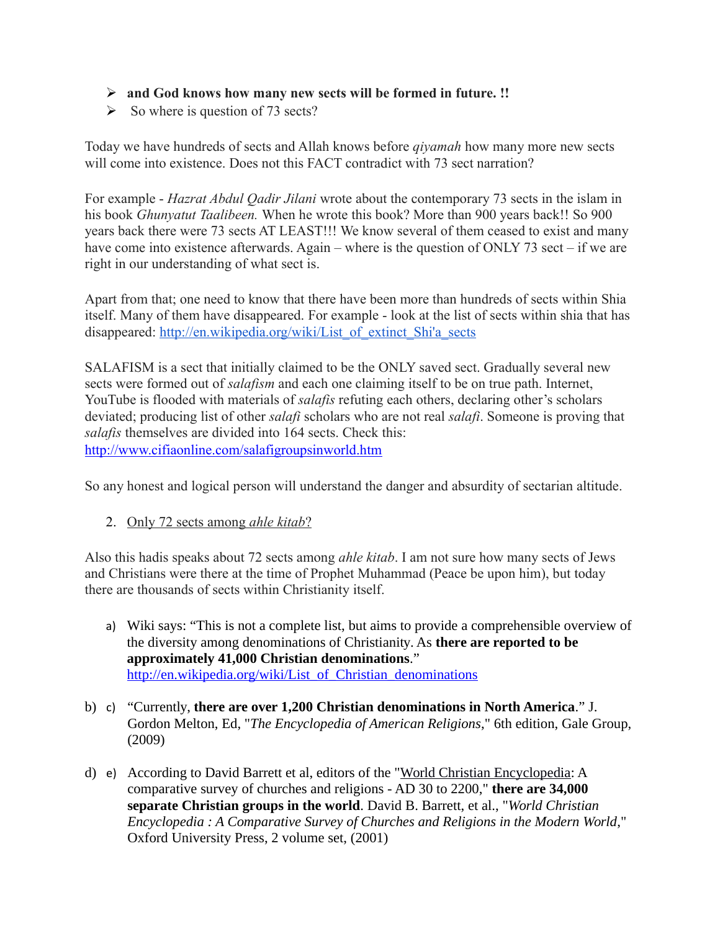### **and God knows how many new sects will be formed in future. !!**

 $\triangleright$  So where is question of 73 sects?

Today we have hundreds of sects and Allah knows before *qiyamah* how many more new sects will come into existence. Does not this FACT contradict with 73 sect narration?

For example - *Hazrat Abdul Qadir Jilani* wrote about the contemporary 73 sects in the islam in his book *Ghunyatut Taalibeen.* When he wrote this book? More than 900 years back!! So 900 years back there were 73 sects AT LEAST!!! We know several of them ceased to exist and many have come into existence afterwards. Again – where is the question of ONLY 73 sect – if we are right in our understanding of what sect is.

Apart from that; one need to know that there have been more than hundreds of sects within Shia itself. Many of them have disappeared. For example - look at the list of sects within shia that has disappeared: [http://en.wikipedia.org/wiki/List\\_of\\_extinct\\_Shi'a\\_sects](http://en.wikipedia.org/wiki/List_of_extinct_Shi)

SALAFISM is a sect that initially claimed to be the ONLY saved sect. Gradually several new sects were formed out of *salafism* and each one claiming itself to be on true path. Internet, YouTube is flooded with materials of *salafis* refuting each others, declaring other's scholars deviated; producing list of other *salafi* scholars who are not real *salafi*. Someone is proving that *salafis* themselves are divided into 164 sects. Check this: <http://www.cifiaonline.com/salafigroupsinworld.htm>

So any honest and logical person will understand the danger and absurdity of sectarian altitude.

2. Only 72 sects among *ahle kitab*?

Also this hadis speaks about 72 sects among *ahle kitab*. I am not sure how many sects of Jews and Christians were there at the time of Prophet Muhammad (Peace be upon him), but today there are thousands of sects within Christianity itself.

- a) Wiki says: "This is not a complete list, but aims to provide a comprehensible overview of the diversity among denominations of Christianity. As **there are reported to be approximately 41,000 Christian denominations**." [http://en.wikipedia.org/wiki/List\\_of\\_Christian\\_denominations](http://en.wikipedia.org/wiki/List_of_Christian_denominations)
- b) c) "Currently, **there are over 1,200 Christian denominations in North America**." J. Gordon Melton, Ed, "*The Encyclopedia of American Religions*," 6th edition, Gale Group, (2009)
- <span id="page-3-0"></span>d) e) According to David Barrett et al, editors of the ["World Christian Encyclopedia:](#page-3-0) A comparative survey of churches and religions - AD 30 to 2200," **there are 34,000 separate Christian groups in the world**. David B. Barrett, et al., "*World Christian Encyclopedia : A Comparative Survey of Churches and Religions in the Modern World*," Oxford University Press, 2 volume set, (2001)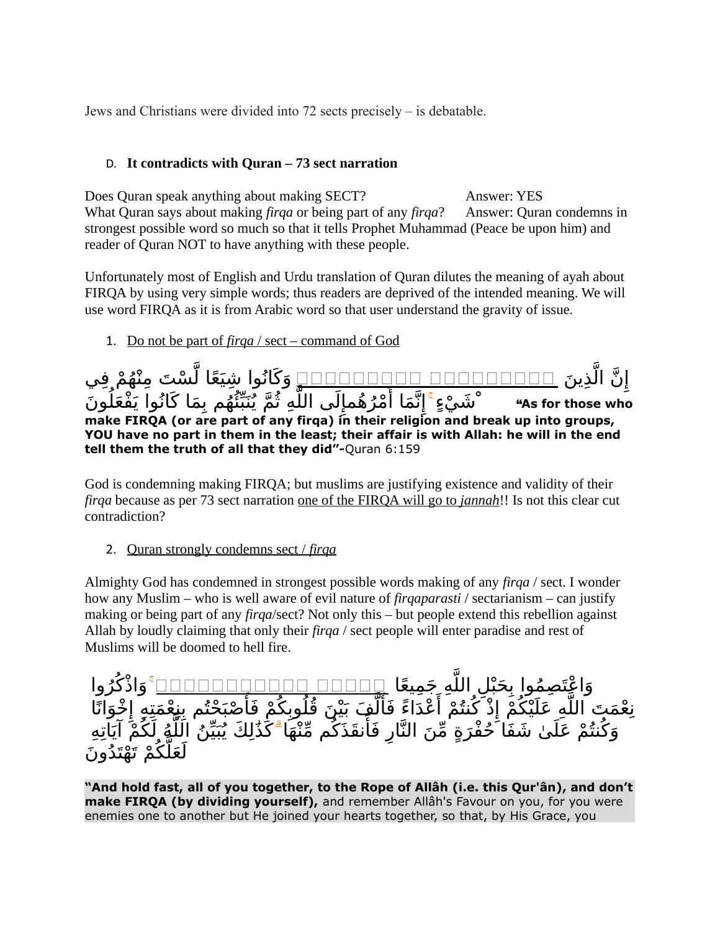Jews and Christians were divided into 72 sects precisely – is debatable.

### <span id="page-4-0"></span>D. **It contradicts with Quran – 73 sect narration**

Does Quran speak anything about making SECT? Answer: YES What Quran says about making *firqa* or being part of any *firqa*? Answer: Quran condemns in strongest possible word so much so that it tells Prophet Muhammad (Peace be upon him) and reader of Quran NOT to have anything with these people.

Unfortunately most of English and Urdu translation of Quran dilutes the meaning of ayah about FIRQA by using very simple words; thus readers are deprived of the intended meaning. We will use word FIRQA as it is from Arabic word so that user understand the gravity of issue.

1. Do not be part of *firqa* / sect – command of God

 ين ذ ڵ ن ال إِنَّ الَّذِينَ ِ □□□□□□□□□□□□□□□□□□□□□□□ وَكَانُوا شِيَعًا لَّسْتَ مِنْهُمْ فِي ش X ون يء# ما كانوا يف عل م ب ه 4ئ نب م ي ه ث لى الل مإ ره م ما أ ن إ ْ" **As for those who make FIRQA (or are part of any firqa) in their religion and break up into groups, YOU have no part in them in the least; their affair is with Allah: he will in the end tell them the truth of all that they did"-**Quran 6:159

God is condemning making FIRQA; but muslims are justifying existence and validity of their *firqa* because as per 73 sect narration one of the FIRQA will go to *jannah*!! Is not this clear cut contradiction?

2. Quran strongly condemns sect / *firqa*

Almighty God has condemned in strongest possible words making of any *firqa* / sect. I wonder how any Muslim – who is well aware of evil nature of *firqaparasti* / sectarianism – can justify making or being part of any *firqa*/sect? Not only this – but people extend this rebellion against Allah by loudly claiming that only their *firqa* / sect people will enter paradise and rest of Muslims will be doomed to hell fire.

وَاءْتِمِمُوا بِحَبْلِ اللَّهِ جَمِيعًا <u>POOOO DOOO وOOOOOO وَ</u>اذْكُرُوا و التَّحِ<del>ـُّـدَ</del> مِنْ مَّةٍ أَغْذَاءً فَأَلَّٰفٍ بَيْنَ قُلُوبِكُمْ فَأَصْبَحْتُم بِنِعْمَتِهِ إِخْوَانًا ۖ<br>نِعْمَتَ اللَّٰهِ عَلَيْكُمْ إِذْ كُنتُمْ أَعْذَاءً فَأَلَّٰفٍ بَيْنَ قُلُوبِكُمْ فَأَصْبَحْتُم بِنِعْمَتِهِ إِخ مَّت مَنْتِ حَبِيْضَمْ } حَمْدَ، حَدَّثَ عَنْ بَيْنَ حَتَّوَبَّكُمْ مَّا مَنْتَ عَنْ مَنْتَ عَنْ مَنْ عَلَيْهِ<br>وَكُنتُمْ عَلَيْ شَفَا حُفْرَةٍ مِّنَ النَّارِ فَأَنقَذَكُم مِّنْهَا ۖ كَذَٰلِكَ يُبَيِّنُ اللَّهِ لَكُمْ آيَا ` لَعَلَّكُمْ تَهْتَدُونَ

**"And hold fast, all of you together, to the Rope of Allâh (i.e. this Qur'ân), and don't make FIRQA (by dividing yourself),** and remember Allâh's Favour on you, for you were enemies one to another but He joined your hearts together, so that, by His Grace, you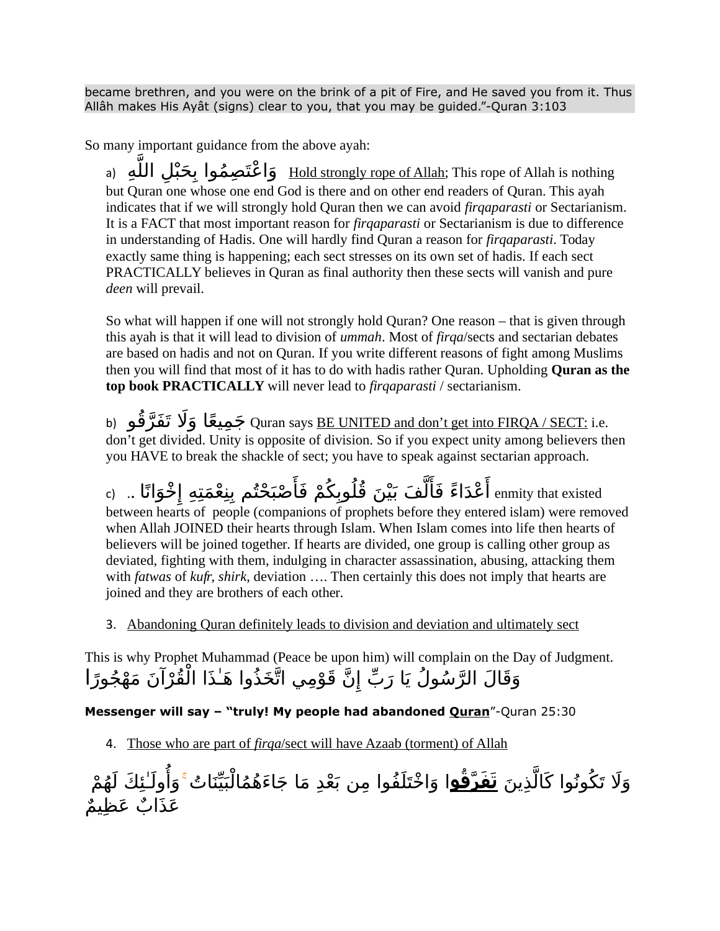became brethren, and you were on the brink of a pit of Fire, and He saved you from it. Thus Allâh makes His Ayât (signs) clear to you, that you may be guided."-Quran 3:103

So many important guidance from the above ayah:

a) وَاعْتَصِمُوا بِحَبْلِ اللَّهِ (a) وَاعْتَصِمُوا بِحَبْلِ اللَّهِ (a) but Quran one whose one end God is there and on other end readers of Quran. This ayah indicates that if we will strongly hold Quran then we can avoid *firqaparasti* or Sectarianism. It is a FACT that most important reason for *firqaparasti* or Sectarianism is due to difference in understanding of Hadis. One will hardly find Quran a reason for *firqaparasti*. Today exactly same thing is happening; each sect stresses on its own set of hadis. If each sect PRACTICALLY believes in Quran as final authority then these sects will vanish and pure *deen* will prevail.

So what will happen if one will not strongly hold Quran? One reason – that is given through this ayah is that it will lead to division of *ummah*. Most of *firqa*/sects and sectarian debates are based on hadis and not on Quran. If you write different reasons of fight among Muslims then you will find that most of it has to do with hadis rather Quran. Upholding **Quran as the top book PRACTICALLY** will never lead to *firqaparasti* / sectarianism.

b) جَمِيعًا وَلَا تَفَرَّقُو (b) جَمِيعًا وَلَا تَفَرَّقُو don't get divided. Unity is opposite of division. So if you expect unity among believers then you HAVE to break the shackle of sect; you have to speak against sectarian approach.

enmity that existed أَعْدَاءً فَأَلَّفَ بَيْنَ قُلُوبِكُمْ فَأَصْبَحْتُم بِنِعْمَتِهِ إِخْوَانًا .. (c between hearts of people (companions of prophets before they entered islam) were removed when Allah JOINED their hearts through Islam. When Islam comes into life then hearts of believers will be joined together. If hearts are divided, one group is calling other group as deviated, fighting with them, indulging in character assassination, abusing, attacking them with *fatwas* of *kufr*, *shirk*, deviation …. Then certainly this does not imply that hearts are joined and they are brothers of each other.

3. Abandoning Quran definitely leads to division and deviation and ultimately sect

This is why Prophet Muhammad (Peace be upon him) will complain on the Day of Judgment. وَقَالَ الرَّسُولُ يَا رَبِّ إِنَّ قَوْمِي اتَّخَذُوا هَـٰذَا الْقُرْآنَ مَهْجُورًا

**Messenger will say – "truly! My people had abandoned Quran**"-Quran 25:30

4. Those who are part of *firqa* /sect will have Azaab (torment) of Allah

وَلَا تَكُونُوا كَالَّذِينَ <u>تَ**فَرَّقُو**ا وَا</u>خْتَلَفُوا مِن بَعْدِ مَا جَاءَهُمُالْبَيِّنَاتُ ۚ وَأُولَـٰئِكَ لَهُمْ عَذَابٌ عَظِيمٌ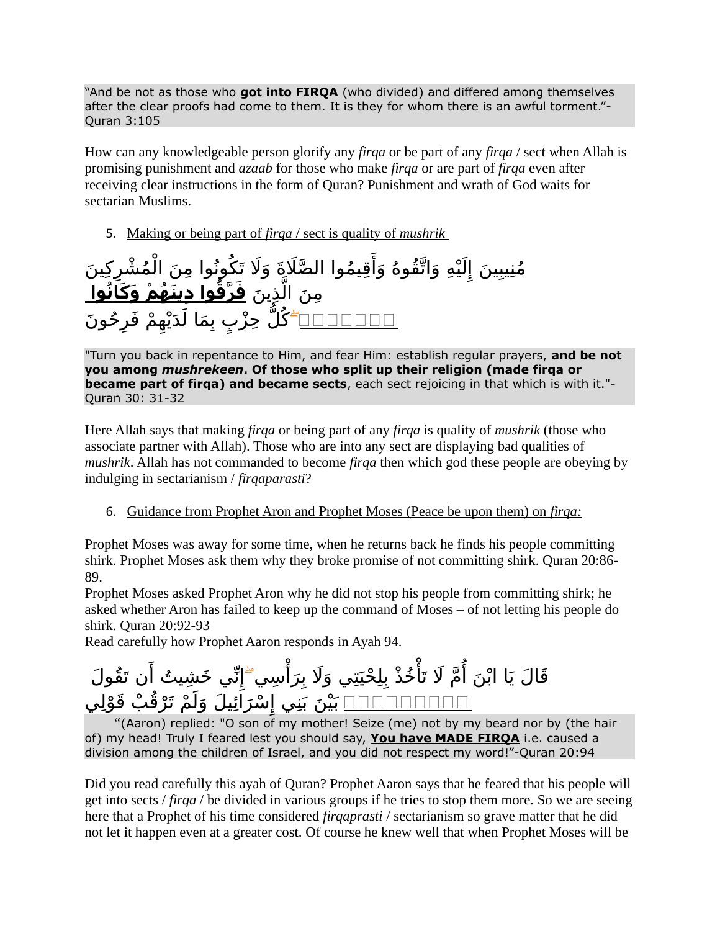"And be not as those who **got into FIRQA** (who divided) and differed among themselves after the clear proofs had come to them. It is they for whom there is an awful torment."- Quran 3:105

How can any knowledgeable person glorify any *firqa* or be part of any *firqa* / sect when Allah is promising punishment and *azaab* for those who make *firqa* or are part of *firqa* even after receiving clear instructions in the form of Quran? Punishment and wrath of God waits for sectarian Muslims.

5. Making or being part of *firqa* / sect is quality of *mushrik*

مُنِيبِينَ إِلَيْهِ وَاتَّقُوهُ وَأَقِيمُوا الطَّلَاةَ وَلَا تَكُونُوا مِنَ الْمُشْرِكِينَ ِمِنَ الَّذِينَ **<u>فَرَّقُوا دِينَهُمْ وَكَانُوا </u>** <u>□□□□□□</u> كُلُّ حِزْبٍ بِمَا لَدَيْهِمْ فَرِحُونَ

"Turn you back in repentance to Him, and fear Him: establish regular prayers, **and be not you among** *mushrekeen***. Of those who split up their religion (made firqa or became part of firqa) and became sects**, each sect rejoicing in that which is with it."- Quran 30: 31-32

Here Allah says that making *firqa* or being part of any *firqa* is quality of *mushrik* (those who associate partner with Allah). Those who are into any sect are displaying bad qualities of *mushrik*. Allah has not commanded to become *firqa* then which god these people are obeying by indulging in sectarianism / *firqaparasti*?

6. Guidance from Prophet Aron and Prophet Moses (Peace be upon them) on *firqa:*

Prophet Moses was away for some time, when he returns back he finds his people committing shirk. Prophet Moses ask them why they broke promise of not committing shirk. Quran 20:86- 89.

Prophet Moses asked Prophet Aron why he did not stop his people from committing shirk; he asked whether Aron has failed to keep up the command of Moses – of not letting his people do shirk. Quran 20:92-93

Read carefully how Prophet Aaron responds in Ayah 94.

خُذْ بِلِحْيَتِي وَلَا بِرَأْسِي مَّ لَا تَأْ قَالَ يَا ابْنَ أُمَّ لَا تَأْخُذْ بِلِحْيَتِي وَلَا بِرَأْسِي ۖإِنِّي خَشِيتُ أَن تَقُولَ <u>□□□□□□□□</u> بَيْنَ بَنِي إِسْرَاَئِيلَ وَلَمْ تَرْقُبْ قَوْلِي

 *"*(Aaron) replied: "O son of my mother! Seize (me) not by my beard nor by (the hair of) my head! Truly I feared lest you should say, **You have MADE FIRQA** i.e. caused a division among the children of Israel, and you did not respect my word!"-Quran 20:94

Did you read carefully this ayah of Quran? Prophet Aaron says that he feared that his people will get into sects / *firqa* / be divided in various groups if he tries to stop them more. So we are seeing here that a Prophet of his time considered *firqaprasti* / sectarianism so grave matter that he did not let it happen even at a greater cost. Of course he knew well that when Prophet Moses will be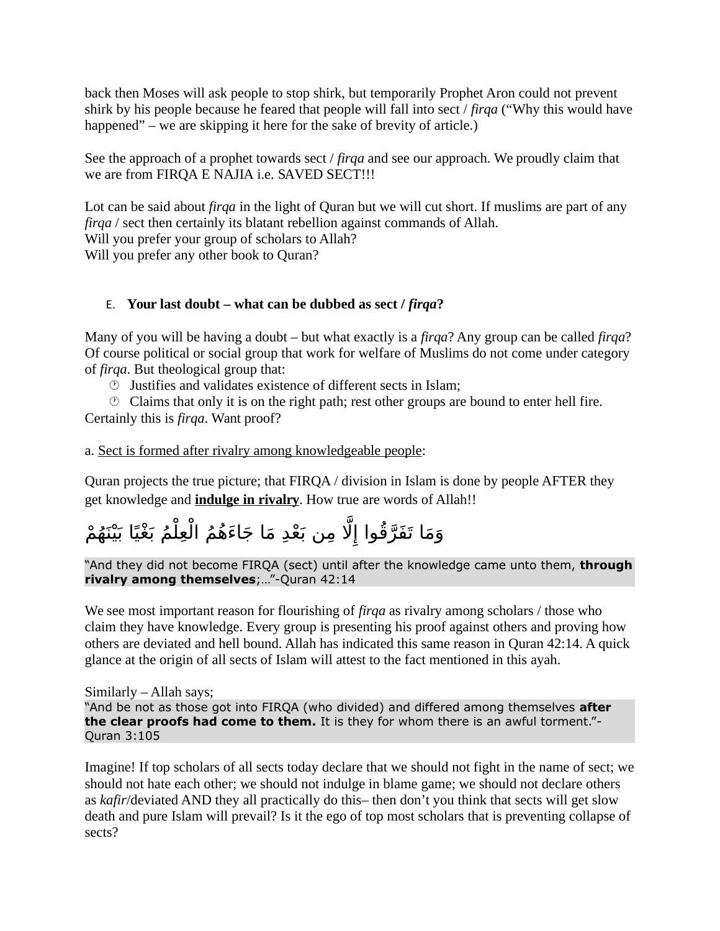back then Moses will ask people to stop shirk, but temporarily Prophet Aron could not prevent shirk by his people because he feared that people will fall into sect / *firqa* ("Why this would have happened" – we are skipping it here for the sake of brevity of article.)

See the approach of a prophet towards sect / *firqa* and see our approach. We proudly claim that we are from FIRQA E NAJIA i.e. SAVED SECT!!!

Lot can be said about *firqa* in the light of Quran but we will cut short. If muslims are part of any *firqa* / sect then certainly its blatant rebellion against commands of Allah. Will you prefer your group of scholars to Allah?

Will you prefer any other book to Quran?

### <span id="page-7-0"></span>E. **Your last doubt – what can be dubbed as sect /** *firqa***?**

Many of you will be having a doubt – but what exactly is a *firqa*? Any group can be called *firqa*? Of course political or social group that work for welfare of Muslims do not come under category of *firqa*. But theological group that:

Justifies and validates existence of different sects in Islam;

 $\circled{1}$  Claims that only it is on the right path; rest other groups are bound to enter hell fire. Certainly this is *firqa*. Want proof?

a. Sect is formed after rivalry among knowledgeable people:

Quran projects the true picture; that FIRQA / division in Islam is done by people AFTER they get knowledge and **indulge in rivalry**. How true are words of Allah!!

# وَمَا تَفَرَّقُوا إِلَّا مِن بَعْدِ مَا جَاءَهُمُ الْعِلْمُ بَغْيًا بَيْنَهُمْ

"And they did not become FIRQA (sect) until after the knowledge came unto them, **through rivalry among themselves**;…"-Quran 42:14

We see most important reason for flourishing of *firqa* as rivalry among scholars / those who claim they have knowledge. Every group is presenting his proof against others and proving how others are deviated and hell bound. Allah has indicated this same reason in Quran 42:14. A quick glance at the origin of all sects of Islam will attest to the fact mentioned in this ayah.

Similarly – Allah says; "And be not as those got into FIRQA (who divided) and differed among themselves **after the clear proofs had come to them.** It is they for whom there is an awful torment."- Quran 3:105

Imagine! If top scholars of all sects today declare that we should not fight in the name of sect; we should not hate each other; we should not indulge in blame game; we should not declare others as *kafir*/deviated AND they all practically do this– then don't you think that sects will get slow death and pure Islam will prevail? Is it the ego of top most scholars that is preventing collapse of sects?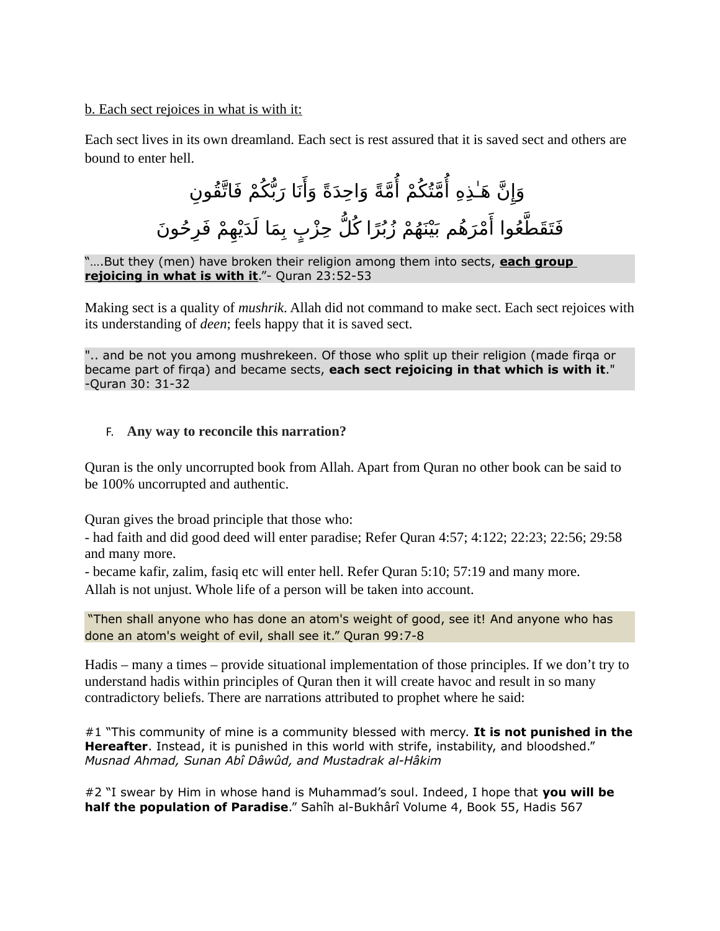### b. Each sect rejoices in what is with it:

Each sect lives in its own dreamland. Each sect is rest assured that it is saved sect and others are bound to enter hell.

# مَّةً وَاحِدَةً وَأَنَا رَبُّكُمْ فَاتَّقُونِ مَّنۡكُمْ أُ وَإِنَّ هَٰذِهِ أُ فَتَقَطَّعُوا أَمْرَهُم بَيْنَهُمْ زُبُرًا كُلُّ حِزْبٍ بِمَا لَدَيْهِمْ فَرِحُونَ

"….But they (men) have broken their religion among them into sects, **each group rejoicing in what is with it**."- Quran 23:52-53

Making sect is a quality of *mushrik*. Allah did not command to make sect. Each sect rejoices with its understanding of *deen*; feels happy that it is saved sect.

".. and be not you among mushrekeen. Of those who split up their religion (made firqa or became part of firqa) and became sects, **each sect rejoicing in that which is with it**." -Quran 30: 31-32

### <span id="page-8-0"></span>F. **Any way to reconcile this narration?**

Quran is the only uncorrupted book from Allah. Apart from Quran no other book can be said to be 100% uncorrupted and authentic.

Quran gives the broad principle that those who:

- had faith and did good deed will enter paradise; Refer Quran 4:57; 4:122; 22:23; 22:56; 29:58 and many more.

- became kafir, zalim, fasiq etc will enter hell. Refer Quran 5:10; 57:19 and many more. Allah is not unjust. Whole life of a person will be taken into account.

"Then shall anyone who has done an atom's weight of good, see it! And anyone who has done an atom's weight of evil, shall see it." Quran 99:7-8

Hadis – many a times – provide situational implementation of those principles. If we don't try to understand hadis within principles of Quran then it will create havoc and result in so many contradictory beliefs. There are narrations attributed to prophet where he said:

#1 "This community of mine is a community blessed with mercy. **It is not punished in the Hereafter**. Instead, it is punished in this world with strife, instability, and bloodshed." *Musnad Ahmad, Sunan Abî Dâwûd, and Mustadrak al-Hâkim*

#2 "I swear by Him in whose hand is Muhammad's soul. Indeed, I hope that **you will be half the population of Paradise**." Sahîh al-Bukhârî Volume 4, Book 55, Hadis 567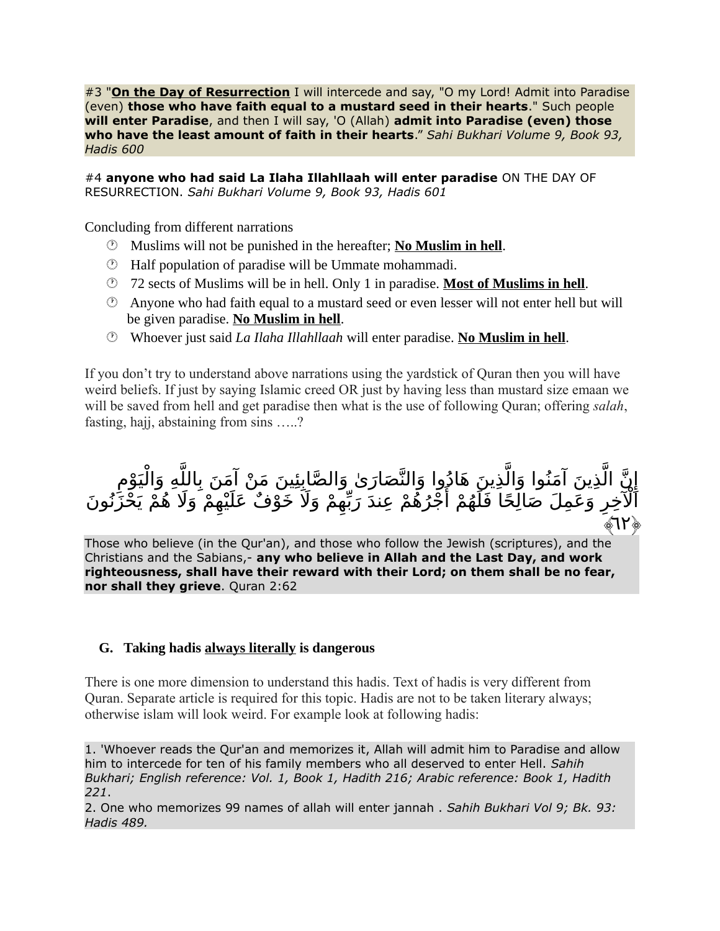#3 "**On the Day of Resurrection** I will intercede and say, "O my Lord! Admit into Paradise (even) **those who have faith equal to a mustard seed in their hearts**." Such people **will enter Paradise**, and then I will say, 'O (Allah) **admit into Paradise (even) those who have the least amount of faith in their hearts**." *Sahi Bukhari Volume 9, Book 93, Hadis 600*

#4 **anyone who had said La Ilaha Illahllaah will enter paradise** ON THE DAY OF RESURRECTION. *Sahi Bukhari Volume 9, Book 93, Hadis 601*

Concluding from different narrations

- Muslims will not be punished in the hereafter; **No Muslim in hell**.
- Half population of paradise will be Ummate mohammadi.
- 72 sects of Muslims will be in hell. Only 1 in paradise. **Most of Muslims in hell**.
- $\circled{2}$  Anyone who had faith equal to a mustard seed or even lesser will not enter hell but will be given paradise. **No Muslim in hell**.
- Whoever just said *La Ilaha Illahllaah* will enter paradise. **No Muslim in hell**.

If you don't try to understand above narrations using the yardstick of Quran then you will have weird beliefs. If just by saying Islamic creed OR just by having less than mustard size emaan we will be saved from hell and get paradise then what is the use of following Quran; offering *salah*, fasting, hajj, abstaining from sins …..?

إِنَّ الَّذِينَ آمَنُوا وَالَّذِينَ هَادُوا وَالنَّصَارَىٰ وَالصَّابِئِينَ مَنْ آمَنَ بِاللَّهِ وَالْيَوْمِ ي .تَوِيْنَ ،تَعْتَوْ. وَ.تَعْتَبُونَ وَ.تَعْتَبُونَ وَ.تَعْتَدَرَى وَ.تَعْتَبِيِّسْ مَثَلٍ بِهِ مَتَحِ وَ.تَيَوْمِ<br>الْآخِرِ وَعَمِلَ صَالِحًا فَلَهُمْ أَجْرُهُمْ عِندَ رَبِّهِمْ وَلَا َ خَوْفُ عَلَيْهِمْ وَلَا هُمْ يَحْز ﴾٦٢﴿

Those who believe (in the Qur'an), and those who follow the Jewish (scriptures), and the Christians and the Sabians,- **any who believe in Allah and the Last Day, and work righteousness, shall have their reward with their Lord; on them shall be no fear, nor shall they grieve**. Quran 2:62

### <span id="page-9-0"></span> **G. Taking hadis always literally is dangerous**

There is one more dimension to understand this hadis. Text of hadis is very different from Quran. Separate article is required for this topic. Hadis are not to be taken literary always; otherwise islam will look weird. For example look at following hadis:

1. 'Whoever reads the Qur'an and memorizes it, Allah will admit him to Paradise and allow him to intercede for ten of his family members who all deserved to enter Hell. *Sahih Bukhari; English reference: Vol. 1, Book 1, Hadith 216; Arabic reference: Book 1, Hadith 221*.

2. One who memorizes 99 names of allah will enter jannah . *Sahih Bukhari Vol 9; Bk. 93: Hadis 489.*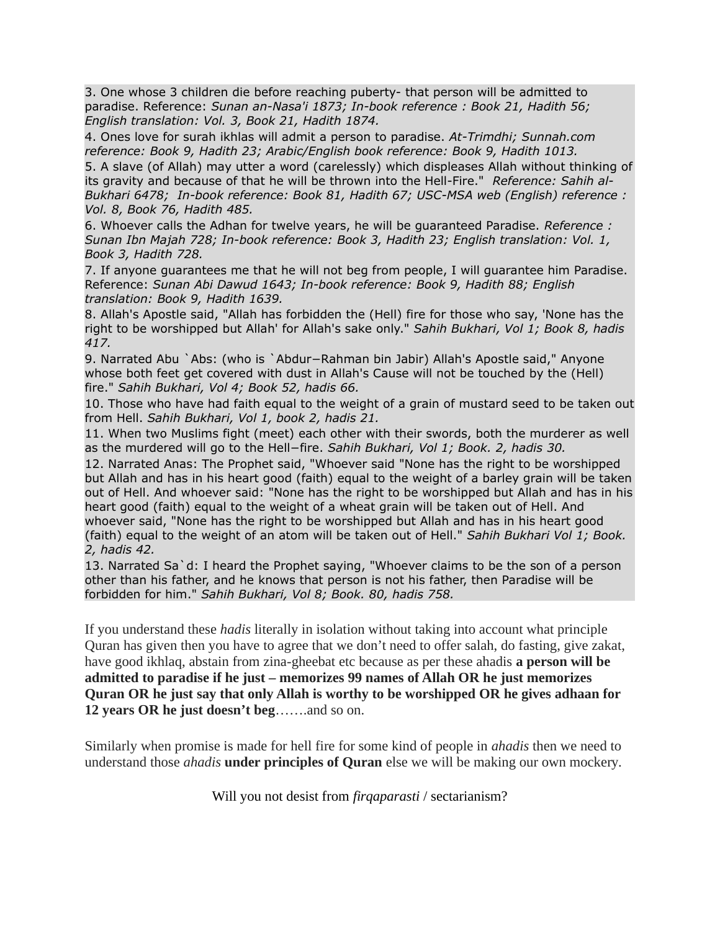3. One whose 3 children die before reaching puberty- that person will be admitted to paradise. Reference: *Sunan an-Nasa'i 1873; In-book reference : Book 21, Hadith 56; English translation: Vol. 3, Book 21, Hadith 1874.*

4. Ones love for surah ikhlas will admit a person to paradise. *At-Trimdhi; Sunnah.com reference: Book 9, Hadith 23; Arabic/English book reference: Book 9, Hadith 1013.*

5. A slave (of Allah) may utter a word (carelessly) which displeases Allah without thinking of its gravity and because of that he will be thrown into the Hell-Fire." *Reference: Sahih al-Bukhari 6478; In-book reference: Book 81, Hadith 67; USC-MSA web (English) reference : Vol. 8, Book 76, Hadith 485.*

6. Whoever calls the Adhan for twelve years, he will be guaranteed Paradise. *Reference : Sunan Ibn Majah 728; In-book reference: Book 3, Hadith 23; English translation: Vol. 1, Book 3, Hadith 728.*

7. If anyone guarantees me that he will not beg from people, I will guarantee him Paradise. Reference: *Sunan Abi Dawud 1643; In-book reference: Book 9, Hadith 88; English translation: Book 9, Hadith 1639.*

8. Allah's Apostle said, "Allah has forbidden the (Hell) fire for those who say, 'None has the right to be worshipped but Allah' for Allah's sake only." *Sahih Bukhari, Vol 1; Book 8, hadis 417.*

9. Narrated Abu `Abs: (who is `Abdur−Rahman bin Jabir) Allah's Apostle said," Anyone whose both feet get covered with dust in Allah's Cause will not be touched by the (Hell) fire." *Sahih Bukhari, Vol 4; Book 52, hadis 66.*

10. Those who have had faith equal to the weight of a grain of mustard seed to be taken out from Hell. *Sahih Bukhari, Vol 1, book 2, hadis 21.*

11. When two Muslims fight (meet) each other with their swords, both the murderer as well as the murdered will go to the Hell−fire. *Sahih Bukhari, Vol 1; Book. 2, hadis 30.*

12. Narrated Anas: The Prophet said, "Whoever said "None has the right to be worshipped but Allah and has in his heart good (faith) equal to the weight of a barley grain will be taken out of Hell. And whoever said: "None has the right to be worshipped but Allah and has in his heart good (faith) equal to the weight of a wheat grain will be taken out of Hell. And whoever said, "None has the right to be worshipped but Allah and has in his heart good (faith) equal to the weight of an atom will be taken out of Hell." *Sahih Bukhari Vol 1; Book. 2, hadis 42.*

13. Narrated Sa`d: I heard the Prophet saying, "Whoever claims to be the son of a person other than his father, and he knows that person is not his father, then Paradise will be forbidden for him." *Sahih Bukhari, Vol 8; Book. 80, hadis 758.*

If you understand these *hadis* literally in isolation without taking into account what principle Quran has given then you have to agree that we don't need to offer salah, do fasting, give zakat, have good ikhlaq, abstain from zina-gheebat etc because as per these ahadis **a person will be admitted to paradise if he just – memorizes 99 names of Allah OR he just memorizes Quran OR he just say that only Allah is worthy to be worshipped OR he gives adhaan for 12 years OR he just doesn't beg**…….and so on.

Similarly when promise is made for hell fire for some kind of people in *ahadis* then we need to understand those *ahadis* **under principles of Quran** else we will be making our own mockery.

Will you not desist from *firqaparasti* / sectarianism?